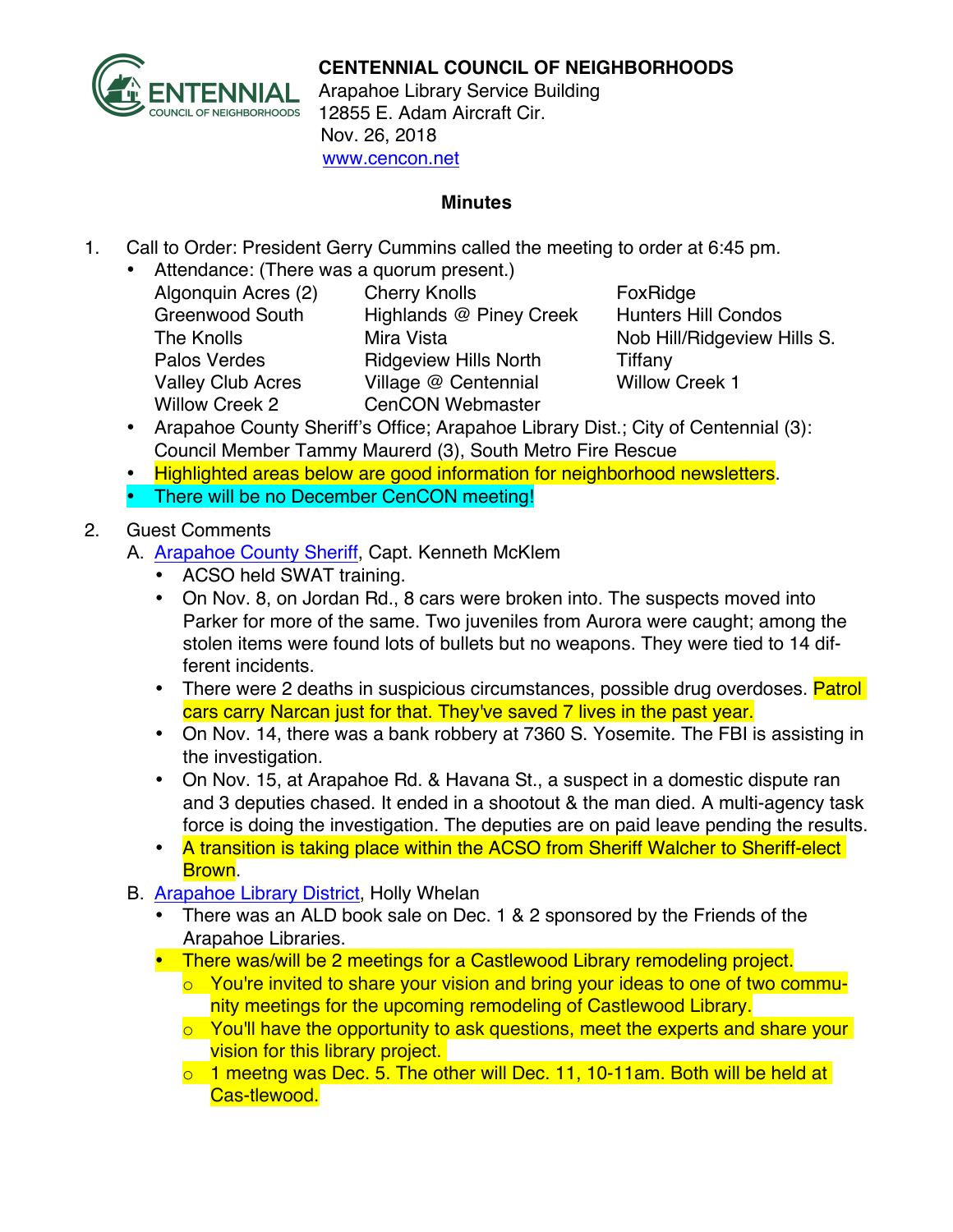

## **CENTENNIAL COUNCIL OF NEIGHBORHOODS**

Arapahoe Library Service Building 12855 E. Adam Aircraft Cir. Nov. 26, 2018 www.cencon.net

## **Minutes**

- 1. Call to Order: President Gerry Cummins called the meeting to order at 6:45 pm.
	- Attendance: (There was a quorum present.)
		- Algonquin Acres (2) Cherry Knolls FoxRidge Greenwood South Highlands @ Piney Creek Hunters Hill Condos The Knolls **Mira Vista** Mira Vista Nob Hill/Ridgeview Hills S. Palos Verdes **Ridgeview Hills North** Tiffany Valley Club Acres Village @ Centennial Willow Creek 1 Willow Creek 2 CenCON Webmaster

- Arapahoe County Sheriff's Office; Arapahoe Library Dist.; City of Centennial (3): Council Member Tammy Maurerd (3), South Metro Fire Rescue
- Highlighted areas below are good information for neighborhood newsletters.
- There will be no December CenCON meeting!

2. Guest Comments

- A. [Arapahoe County Sheriff,](http://www.arapahoesheriff.org) Capt. Kenneth McKlem
	- ACSO held SWAT training.
	- On Nov. 8, on Jordan Rd., 8 cars were broken into. The suspects moved into Parker for more of the same. Two juveniles from Aurora were caught; among the stolen items were found lots of bullets but no weapons. They were tied to 14 different incidents.
	- There were 2 deaths in suspicious circumstances, possible drug overdoses. Patrol cars carry Narcan just for that. They've saved 7 lives in the past year.
	- On Nov. 14, there was a bank robbery at 7360 S. Yosemite. The FBI is assisting in the investigation.
	- On Nov. 15, at Arapahoe Rd. & Havana St., a suspect in a domestic dispute ran and 3 deputies chased. It ended in a shootout & the man died. A multi-agency task force is doing the investigation. The deputies are on paid leave pending the results.
	- A transition is taking place within the ACSO from Sheriff Walcher to Sheriff-elect Brown.
- B. Arapahoe Library District, Holly Whelan
	- There was an ALD book sale on Dec. 1 & 2 sponsored by the Friends of the Arapahoe Libraries.
	- There was/will be 2 meetings for a Castlewood Library remodeling project.
		- o You're invited to share your vision and bring your ideas to one of two community meetings for the upcoming remodeling of Castlewood Library.
		- o You'll have the opportunity to ask questions, meet the experts and share your vision for this library project.
		- $\circ$  1 meetng was Dec. 5. The other will Dec. 11, 10-11am. Both will be held at Cas-tlewood.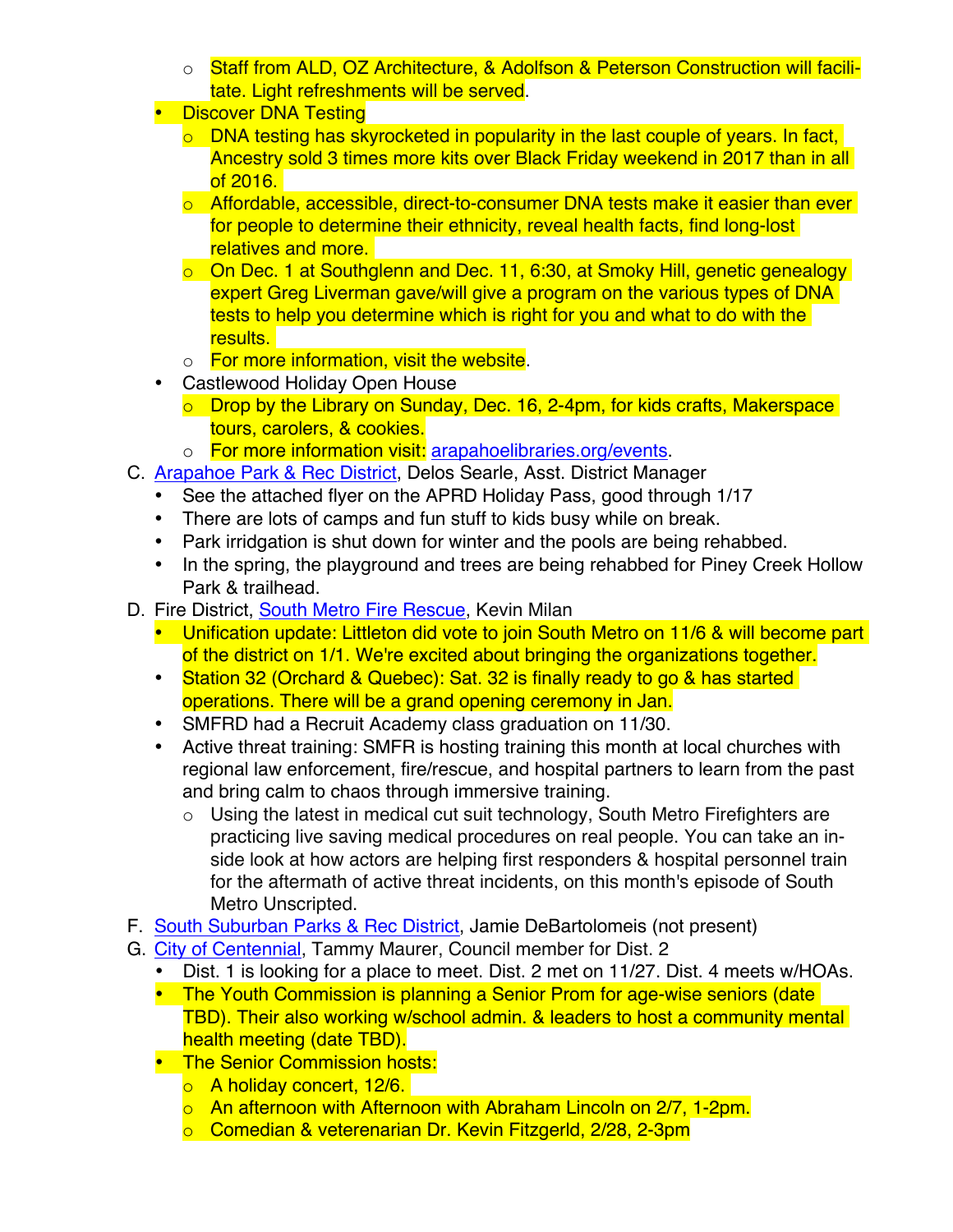- o Staff from ALD, OZ Architecture, & Adolfson & Peterson Construction will facilitate. Light refreshments will be served.
- Discover DNA Testing
	- $\circ$  DNA testing has skyrocketed in popularity in the last couple of years. In fact, Ancestry sold 3 times more kits over Black Friday weekend in 2017 than in all of 2016.
	- o Affordable, accessible, direct-to-consumer DNA tests make it easier than ever for people to determine their ethnicity, reveal health facts, find long-lost relatives and more.
	- o On Dec. 1 at Southglenn and Dec. 11, 6:30, at Smoky Hill, genetic genealogy expert Greg Liverman gave/will give a program on the various types of DNA tests to help you determine which is right for you and what to do with the results.
	- o For more information, visit the website.
- Castlewood Holiday Open House
	- $\circ$  Drop by the Library on Sunday, Dec. 16, 2-4pm, for kids crafts, Makerspace tours, carolers, & cookies.
	- o For more information visit: [arapahoelibraries.org/events.](http://www.arapahoelibraries.org/events)
- C. [Arapahoe Park & Rec District](http://www.aprd.org), Delos Searle, Asst. District Manager
	- See the attached flyer on the APRD Holiday Pass, good through 1/17
	- There are lots of camps and fun stuff to kids busy while on break.
	- Park irridgation is shut down for winter and the pools are being rehabbed.
	- In the spring, the playground and trees are being rehabbed for Piney Creek Hollow Park & trailhead.
- D. Fire District, [South Metro](http://www.southmetro.org/) Fire Rescue, Kevin Milan
	- Unification update: Littleton did vote to join South Metro on 11/6 & will become part of the district on 1/1. We're excited about bringing the organizations together.
	- Station 32 (Orchard & Quebec): Sat. 32 is finally ready to go & has started operations. There will be a grand opening ceremony in Jan.
	- SMFRD had a Recruit Academy class graduation on 11/30.
	- Active threat training: SMFR is hosting training this month at local churches with regional law enforcement, fire/rescue, and hospital partners to learn from the past and bring calm to chaos through immersive training.
		- o Using the latest in medical cut suit technology, South Metro Firefighters are practicing live saving medical procedures on real people. You can take an inside look at how actors are helping first responders & hospital personnel train for the aftermath of active threat incidents, on this month's episode of South Metro Unscripted.
- F. [South Suburban Parks & Rec District,](http://www.SSPR.org) Jamie DeBartolomeis (not present)
- G. [City of Centennial](http://www.centennialco.gov), Tammy Maurer, Council member for Dist. 2
	- Dist. 1 is looking for a place to meet. Dist. 2 met on 11/27. Dist. 4 meets w/HOAs.
	- The Youth Commission is planning a Senior Prom for age-wise seniors (date TBD). Their also working w/school admin. & leaders to host a community mental health meeting (date TBD).
	- The Senior Commission hosts:
		- o A holiday concert, 12/6.
		- o An afternoon with Afternoon with Abraham Lincoln on 2/7, 1-2pm.
		- o Comedian & veterenarian Dr. Kevin Fitzgerld, 2/28, 2-3pm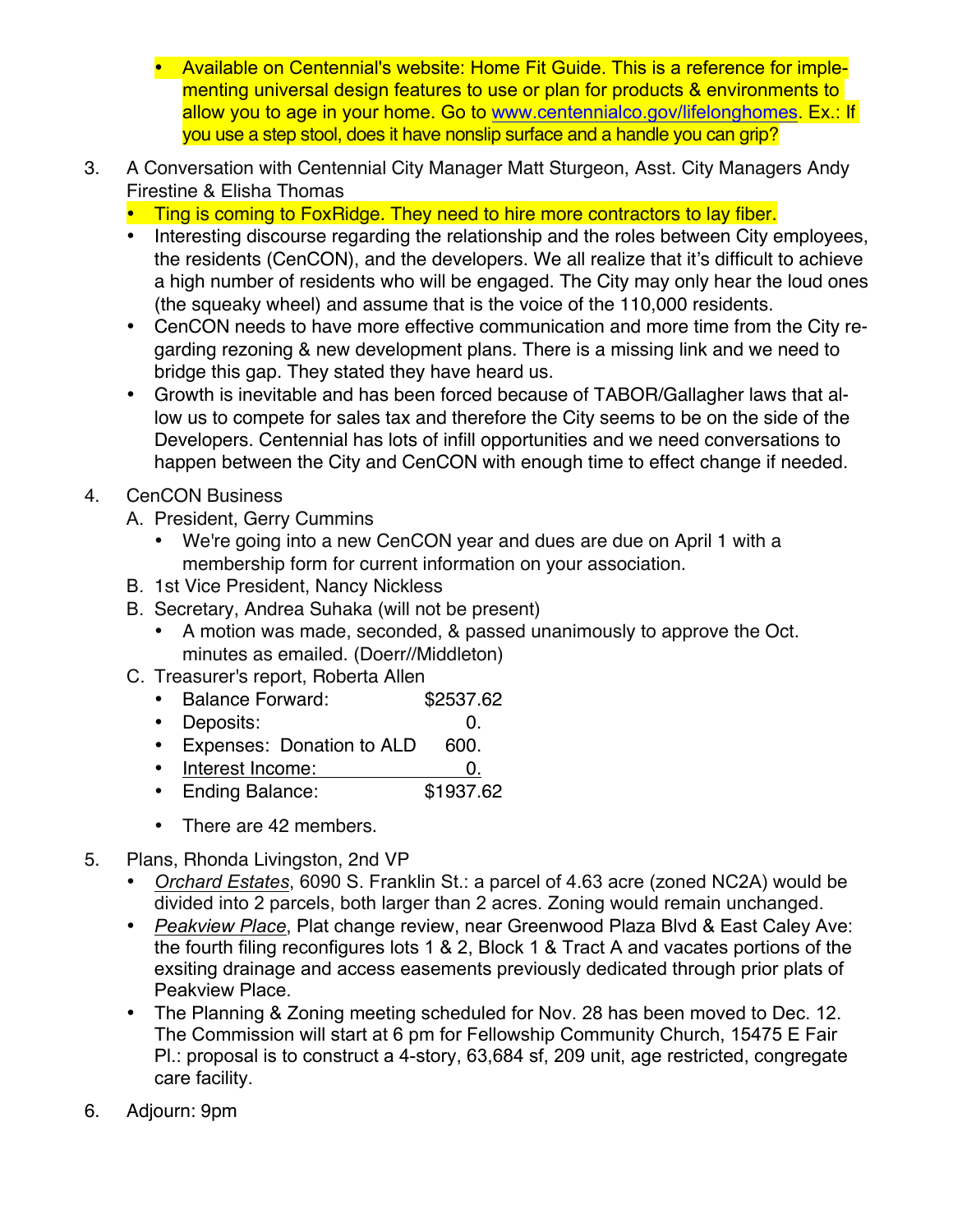- Available on Centennial's website: Home Fit Guide. This is a reference for implementing universal design features to use or plan for products & environments to allow you to age in your home. Go to [www.centennialco.gov/lifelonghomes.](http://www.centennialco.gov/lifelonghomes) Ex.: If you use a step stool, does it have nonslip surface and a handle you can grip?
- 3. A Conversation with Centennial City Manager Matt Sturgeon, Asst. City Managers Andy Firestine & Elisha Thomas
	- Ting is coming to FoxRidge. They need to hire more contractors to lay fiber.
	- Interesting discourse regarding the relationship and the roles between City employees, the residents (CenCON), and the developers. We all realize that it's difficult to achieve a high number of residents who will be engaged. The City may only hear the loud ones (the squeaky wheel) and assume that is the voice of the 110,000 residents.
	- CenCON needs to have more effective communication and more time from the City regarding rezoning & new development plans. There is a missing link and we need to bridge this gap. They stated they have heard us.
	- Growth is inevitable and has been forced because of TABOR/Gallagher laws that allow us to compete for sales tax and therefore the City seems to be on the side of the Developers. Centennial has lots of infill opportunities and we need conversations to happen between the City and CenCON with enough time to effect change if needed.
- 4. CenCON Business
	- A. President, Gerry Cummins
		- We're going into a new CenCON year and dues are due on April 1 with a membership form for current information on your association.
	- B. 1st Vice President, Nancy Nickless
	- B. Secretary, Andrea Suhaka (will not be present)
		- A motion was made, seconded, & passed unanimously to approve the Oct. minutes as emailed. (Doerr//Middleton)
	- C. Treasurer's report, Roberta Allen
		- Balance Forward: \$2537.62
		- Deposits: 0.
		- Expenses: Donation to ALD 600.
		- Interest Income: 0.
		- Ending Balance: \$1937.62
		- There are 42 members.
- 5. Plans, Rhonda Livingston, 2nd VP
	- *Orchard Estates*, 6090 S. Franklin St.: a parcel of 4.63 acre (zoned NC2A) would be divided into 2 parcels, both larger than 2 acres. Zoning would remain unchanged.
	- *Peakview Place*, Plat change review, near Greenwood Plaza Blvd & East Caley Ave: the fourth filing reconfigures lots 1 & 2, Block 1 & Tract A and vacates portions of the exsiting drainage and access easements previously dedicated through prior plats of Peakview Place.
	- The Planning & Zoning meeting scheduled for Nov. 28 has been moved to Dec. 12. The Commission will start at 6 pm for Fellowship Community Church, 15475 E Fair Pl.: proposal is to construct a 4-story, 63,684 sf, 209 unit, age restricted, congregate care facility.
- 6. Adjourn: 9pm